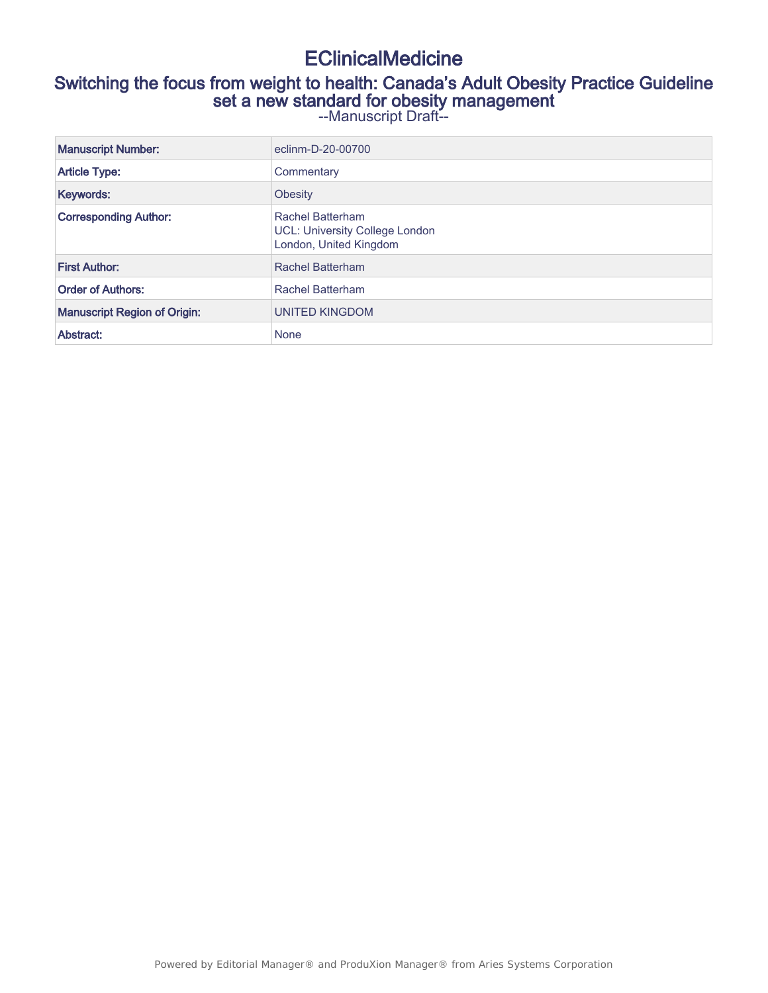# **EClinicalMedicine**

## Switching the focus from weight to health: Canada's Adult Obesity Practice Guideline set a new standard for obesity management

--Manuscript Draft--

| <b>Manuscript Number:</b>           | eclinm-D-20-00700                                                                   |
|-------------------------------------|-------------------------------------------------------------------------------------|
| <b>Article Type:</b>                | Commentary                                                                          |
| Keywords:                           | Obesity                                                                             |
| <b>Corresponding Author:</b>        | Rachel Batterham<br><b>UCL: University College London</b><br>London, United Kingdom |
| <b>First Author:</b>                | <b>Rachel Batterham</b>                                                             |
| <b>Order of Authors:</b>            | <b>Rachel Batterham</b>                                                             |
| <b>Manuscript Region of Origin:</b> | UNITED KINGDOM                                                                      |
| Abstract:                           | <b>None</b>                                                                         |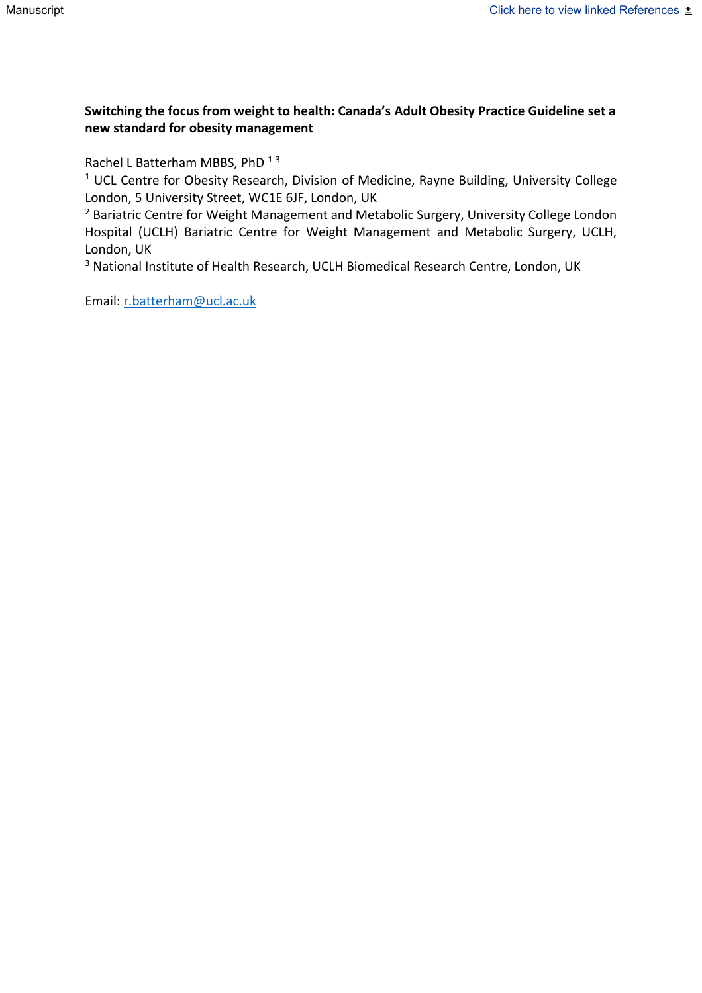#### **Switching the focus from weight to health: Canada's Adult Obesity Practice Guideline set a new standard for obesity management**

Rachel L Batterham MBBS, PhD<sup>1-3</sup>

<sup>1</sup> UCL Centre for Obesity Research, Division of Medicine, Rayne Building, University College London, 5 University Street, WC1E 6JF, London, UK

<sup>2</sup> Bariatric Centre for Weight Management and Metabolic Surgery, University College London Hospital (UCLH) Bariatric Centre for Weight Management and Metabolic Surgery, UCLH, London, UK

<sup>3</sup> National Institute of Health Research, UCLH Biomedical Research Centre, London, UK

Email: [r.batterham@ucl.ac.uk](mailto:r.batterham@ucl.ac.uk)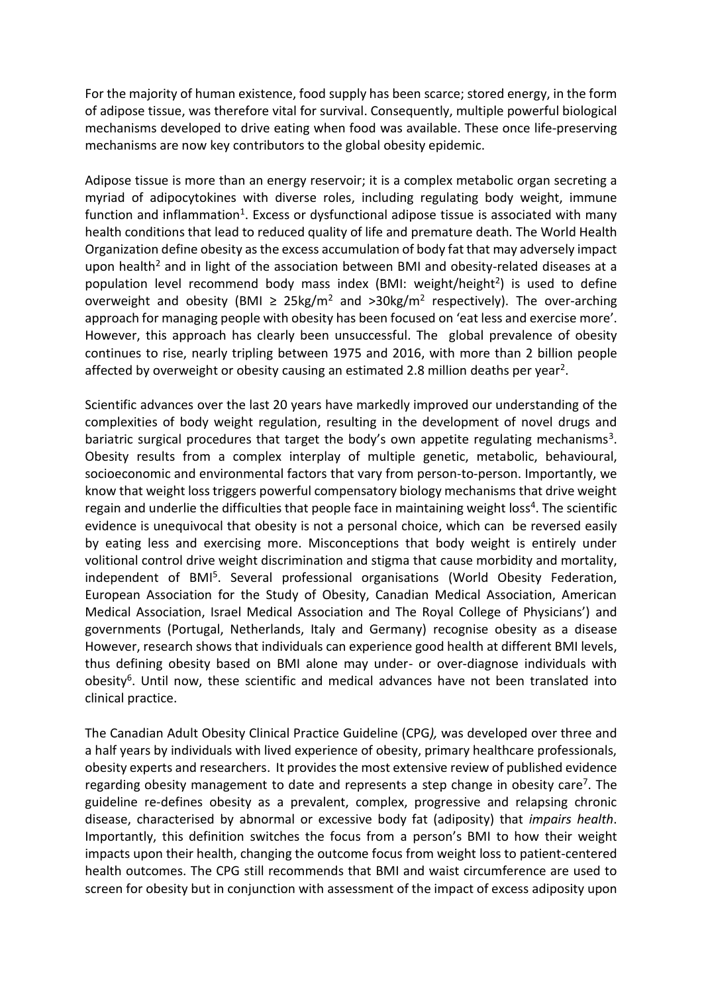For the majority of human existence, food supply has been scarce; stored energy, in the form of adipose tissue, was therefore vital for survival. Consequently, multiple powerful biological mechanisms developed to drive eating when food was available. These once life-preserving mechanisms are now key contributors to the global obesity epidemic.

Adipose tissue is more than an energy reservoir; it is a complex metabolic organ secreting a myriad of adipocytokines with diverse roles, including regulating body weight, immune function and inflammation<sup>1</sup>. Excess or dysfunctional adipose tissue is associated with many health conditions that lead to reduced quality of life and premature death*.* The World Health Organization define obesity as the excess accumulation of body fat that may adversely impact upon health<sup>2</sup> and in light of the association between BMI and obesity-related diseases at a population level recommend body mass index (BMI: weight/height<sup>2</sup>) is used to define overweight and obesity (BMI  $\geq 25$ kg/m<sup>2</sup> and >30kg/m<sup>2</sup> respectively). The over-arching approach for managing people with obesity has been focused on 'eat less and exercise more'. However, this approach has clearly been unsuccessful. The global prevalence of obesity continues to rise, nearly tripling between 1975 and 2016, with more than 2 billion people affected by overweight or obesity causing an estimated 2.8 million deaths per year<sup>2</sup>.

Scientific advances over the last 20 years have markedly improved our understanding of the complexities of body weight regulation, resulting in the development of novel drugs and bariatric surgical procedures that target the body's own appetite regulating mechanisms<sup>3</sup>. Obesity results from a complex interplay of multiple genetic, metabolic, behavioural, socioeconomic and environmental factors that vary from person-to-person. Importantly, we know that weight loss triggers powerful compensatory biology mechanisms that drive weight regain and underlie the difficulties that people face in maintaining weight loss<sup>4</sup>. The scientific evidence is unequivocal that obesity is not a personal choice, which can be reversed easily by eating less and exercising more. Misconceptions that body weight is entirely under volitional control drive weight discrimination and stigma that cause morbidity and mortality, independent of BMI<sup>5</sup>. Several professional organisations (World Obesity Federation, European Association for the Study of Obesity, Canadian Medical Association, American Medical Association, Israel Medical Association and The Royal College of Physicians') and governments (Portugal, Netherlands, Italy and Germany) recognise obesity as a disease However, research shows that individuals can experience good health at different BMI levels, thus defining obesity based on BMI alone may under- or over-diagnose individuals with obesity<sup>6</sup>. Until now, these scientific and medical advances have not been translated into clinical practice.

The Canadian Adult Obesity Clinical Practice Guideline (CPG*),* was developed over three and a half years by individuals with lived experience of obesity, primary healthcare professionals, obesity experts and researchers. It provides the most extensive review of published evidence regarding obesity management to date and represents a step change in obesity care<sup>7</sup>. The guideline re-defines obesity as a prevalent, complex, progressive and relapsing chronic disease, characterised by abnormal or excessive body fat (adiposity) that *impairs health*. Importantly, this definition switches the focus from a person's BMI to how their weight impacts upon their health, changing the outcome focus from weight loss to patient-centered health outcomes. The CPG still recommends that BMI and waist circumference are used to screen for obesity but in conjunction with assessment of the impact of excess adiposity upon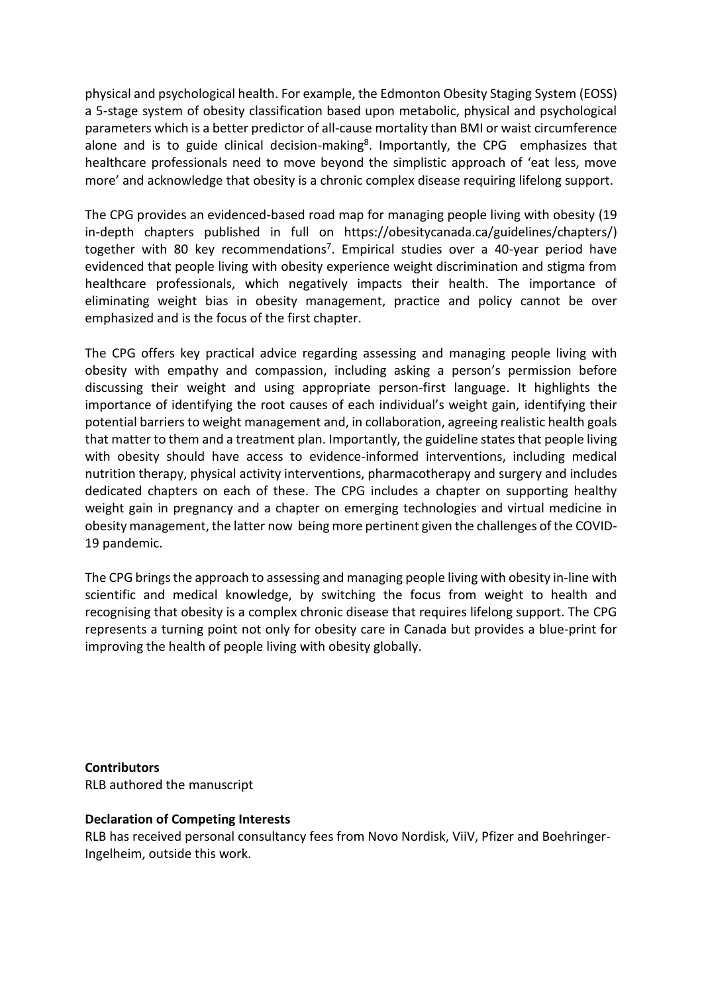physical and psychological health. For example, the Edmonton Obesity Staging System (EOSS) a 5-stage system of obesity classification based upon metabolic, physical and psychological parameters which is a better predictor of all-cause mortality than BMI or waist circumference alone and is to guide clinical decision-making<sup>8</sup>. Importantly, the CPG emphasizes that healthcare professionals need to move beyond the simplistic approach of 'eat less, move more' and acknowledge that obesity is a chronic complex disease requiring lifelong support.

The CPG provides an evidenced-based road map for managing people living with obesity (19 in-depth chapters published in full on https://obesitycanada.ca/guidelines/chapters/) together with 80 key recommendations<sup>7</sup>. Empirical studies over a 40-year period have evidenced that people living with obesity experience weight discrimination and stigma from healthcare professionals, which negatively impacts their health. The importance of eliminating weight bias in obesity management, practice and policy cannot be over emphasized and is the focus of the first chapter.

The CPG offers key practical advice regarding assessing and managing people living with obesity with empathy and compassion, including asking a person's permission before discussing their weight and using appropriate person-first language. It highlights the importance of identifying the root causes of each individual's weight gain, identifying their potential barriers to weight management and, in collaboration, agreeing realistic health goals that matter to them and a treatment plan. Importantly, the guideline states that people living with obesity should have access to evidence-informed interventions, including medical nutrition therapy, physical activity interventions, pharmacotherapy and surgery and includes dedicated chapters on each of these. The CPG includes a chapter on supporting healthy weight gain in pregnancy and a chapter on emerging technologies and virtual medicine in obesity management, the latter now being more pertinent given the challenges of the COVID-19 pandemic.

The CPG brings the approach to assessing and managing people living with obesity in-line with scientific and medical knowledge, by switching the focus from weight to health and recognising that obesity is a complex chronic disease that requires lifelong support. The CPG represents a turning point not only for obesity care in Canada but provides a blue-print for improving the health of people living with obesity globally.

**Contributors** RLB authored the manuscript

#### **Declaration of Competing Interests**

RLB has received personal consultancy fees from Novo Nordisk, ViiV, Pfizer and Boehringer-Ingelheim, outside this work.